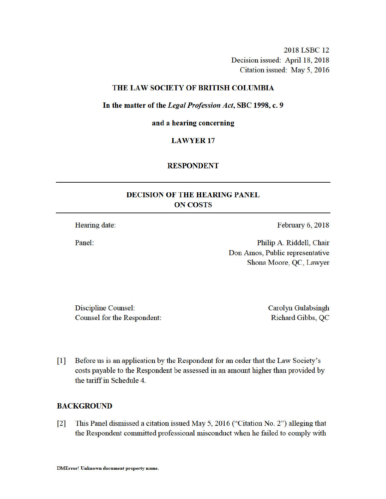2018 LSBC 12 Decision issued: April 18, 2018 Citation issued: May 5, 2016

## THE LAW SOCIETY OF BRITISH COLUMBIA

In the matter of the Legal Profession Act, SBC 1998, c. 9

and a hearing concerning

## **LAWYER 17**

# **RESPONDENT**

# **DECISION OF THE HEARING PANEL ON COSTS**

Hearing date:

Panel:

February 6, 2018

Philip A. Riddell, Chair Don Amos, Public representative Shona Moore, QC, Lawyer

Discipline Counsel: Counsel for the Respondent: Carolyn Gulabsingh Richard Gibbs, QC

Before us is an application by the Respondent for an order that the Law Society's  $\lceil 1 \rceil$ costs payable to the Respondent be assessed in an amount higher than provided by the tariff in Schedule 4.

# **BACKGROUND**

This Panel dismissed a citation issued May 5, 2016 ("Citation No. 2") alleging that  $\lceil 2 \rceil$ the Respondent committed professional misconduct when he failed to comply with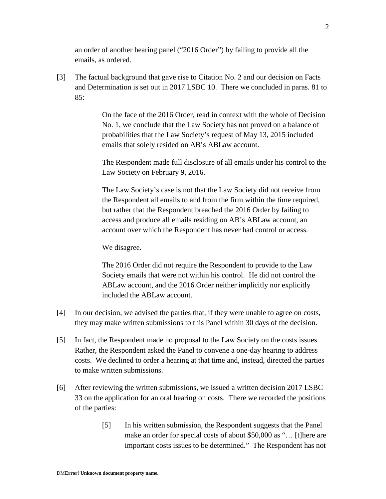an order of another hearing panel ("2016 Order") by failing to provide all the emails, as ordered.

[3] The factual background that gave rise to Citation No. 2 and our decision on Facts and Determination is set out in 2017 LSBC 10. There we concluded in paras. 81 to 85:

> On the face of the 2016 Order, read in context with the whole of Decision No. 1, we conclude that the Law Society has not proved on a balance of probabilities that the Law Society's request of May 13, 2015 included emails that solely resided on AB's ABLaw account.

> The Respondent made full disclosure of all emails under his control to the Law Society on February 9, 2016.

The Law Society's case is not that the Law Society did not receive from the Respondent all emails to and from the firm within the time required, but rather that the Respondent breached the 2016 Order by failing to access and produce all emails residing on AB's ABLaw account, an account over which the Respondent has never had control or access.

We disagree.

The 2016 Order did not require the Respondent to provide to the Law Society emails that were not within his control. He did not control the ABLaw account, and the 2016 Order neither implicitly nor explicitly included the ABLaw account.

- [4] In our decision, we advised the parties that, if they were unable to agree on costs, they may make written submissions to this Panel within 30 days of the decision.
- [5] In fact, the Respondent made no proposal to the Law Society on the costs issues. Rather, the Respondent asked the Panel to convene a one-day hearing to address costs. We declined to order a hearing at that time and, instead, directed the parties to make written submissions.
- [6] After reviewing the written submissions, we issued a written decision 2017 LSBC 33 on the application for an oral hearing on costs. There we recorded the positions of the parties:
	- [5] In his written submission, the Respondent suggests that the Panel make an order for special costs of about \$50,000 as "… [t]here are important costs issues to be determined." The Respondent has not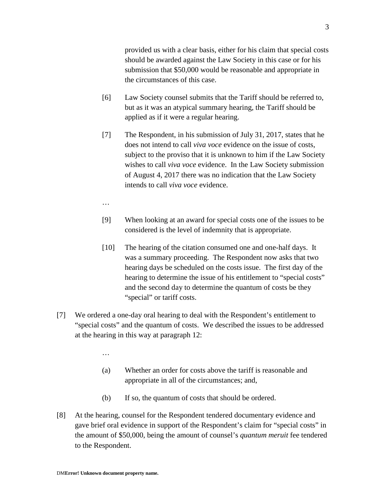provided us with a clear basis, either for his claim that special costs should be awarded against the Law Society in this case or for his submission that \$50,000 would be reasonable and appropriate in the circumstances of this case.

- [6] Law Society counsel submits that the Tariff should be referred to, but as it was an atypical summary hearing, the Tariff should be applied as if it were a regular hearing.
- [7] The Respondent, in his submission of July 31, 2017, states that he does not intend to call *viva voce* evidence on the issue of costs, subject to the proviso that it is unknown to him if the Law Society wishes to call *viva voce* evidence. In the Law Society submission of August 4, 2017 there was no indication that the Law Society intends to call *viva voce* evidence.
- …
- [9] When looking at an award for special costs one of the issues to be considered is the level of indemnity that is appropriate.
- [10] The hearing of the citation consumed one and one-half days. It was a summary proceeding. The Respondent now asks that two hearing days be scheduled on the costs issue. The first day of the hearing to determine the issue of his entitlement to "special costs" and the second day to determine the quantum of costs be they "special" or tariff costs.
- [7] We ordered a one-day oral hearing to deal with the Respondent's entitlement to "special costs" and the quantum of costs. We described the issues to be addressed at the hearing in this way at paragraph 12:
	- …
	- (a) Whether an order for costs above the tariff is reasonable and appropriate in all of the circumstances; and,
	- (b) If so, the quantum of costs that should be ordered.
- [8] At the hearing, counsel for the Respondent tendered documentary evidence and gave brief oral evidence in support of the Respondent's claim for "special costs" in the amount of \$50,000, being the amount of counsel's *quantum meruit* fee tendered to the Respondent.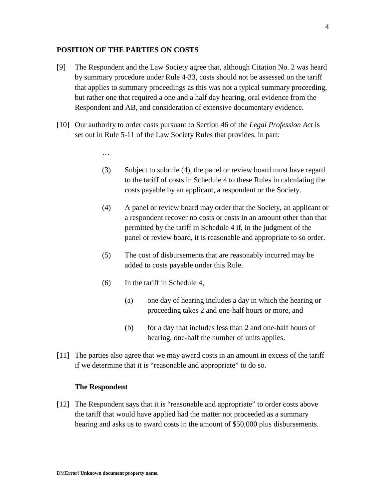# **POSITION OF THE PARTIES ON COSTS**

- [9] The Respondent and the Law Society agree that, although Citation No. 2 was heard by summary procedure under Rule 4-33, costs should not be assessed on the tariff that applies to summary proceedings as this was not a typical summary proceeding, but rather one that required a one and a half day hearing, oral evidence from the Respondent and AB, and consideration of extensive documentary evidence.
- [10] Our authority to order costs pursuant to Section 46 of the *Legal Profession Act* is set out in Rule 5-11 of the Law Society Rules that provides, in part:
	- …
	- (3) Subject to subrule (4), the panel or review board must have regard to the tariff of costs in Schedule 4 to these Rules in calculating the costs payable by an applicant, a respondent or the Society.
	- (4) A panel or review board may order that the Society, an applicant or a respondent recover no costs or costs in an amount other than that permitted by the tariff in Schedule 4 if, in the judgment of the panel or review board, it is reasonable and appropriate to so order.
	- (5) The cost of disbursements that are reasonably incurred may be added to costs payable under this Rule.
	- (6) In the tariff in Schedule 4,
		- (a) one day of hearing includes a day in which the hearing or proceeding takes 2 and one-half hours or more, and
		- (b) for a day that includes less than 2 and one-half hours of hearing, one-half the number of units applies.
- [11] The parties also agree that we may award costs in an amount in excess of the tariff if we determine that it is "reasonable and appropriate" to do so.

#### **The Respondent**

[12] The Respondent says that it is "reasonable and appropriate" to order costs above the tariff that would have applied had the matter not proceeded as a summary hearing and asks us to award costs in the amount of \$50,000 plus disbursements.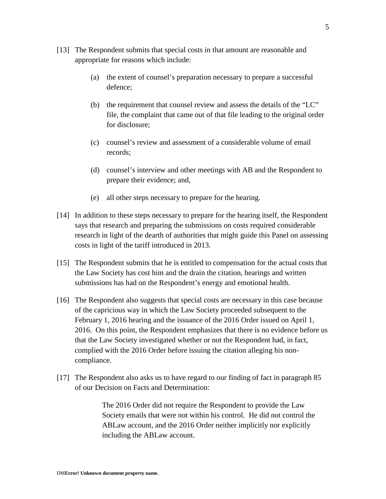- [13] The Respondent submits that special costs in that amount are reasonable and appropriate for reasons which include:
	- (a) the extent of counsel's preparation necessary to prepare a successful defence;
	- (b) the requirement that counsel review and assess the details of the "LC" file, the complaint that came out of that file leading to the original order for disclosure;
	- (c) counsel's review and assessment of a considerable volume of email records;
	- (d) counsel's interview and other meetings with AB and the Respondent to prepare their evidence; and,
	- (e) all other steps necessary to prepare for the hearing.
- [14] In addition to these steps necessary to prepare for the hearing itself, the Respondent says that research and preparing the submissions on costs required considerable research in light of the dearth of authorities that might guide this Panel on assessing costs in light of the tariff introduced in 2013.
- [15] The Respondent submits that he is entitled to compensation for the actual costs that the Law Society has cost him and the drain the citation, hearings and written submissions has had on the Respondent's energy and emotional health.
- [16] The Respondent also suggests that special costs are necessary in this case because of the capricious way in which the Law Society proceeded subsequent to the February 1, 2016 hearing and the issuance of the 2016 Order issued on April 1, 2016. On this point, the Respondent emphasizes that there is no evidence before us that the Law Society investigated whether or not the Respondent had, in fact, complied with the 2016 Order before issuing the citation alleging his noncompliance.
- [17] The Respondent also asks us to have regard to our finding of fact in paragraph 85 of our Decision on Facts and Determination:

The 2016 Order did not require the Respondent to provide the Law Society emails that were not within his control. He did not control the ABLaw account, and the 2016 Order neither implicitly nor explicitly including the ABLaw account.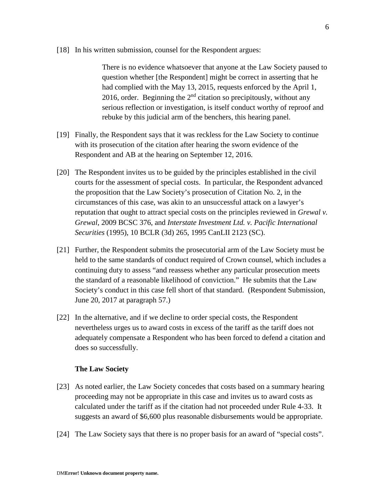[18] In his written submission, counsel for the Respondent argues:

There is no evidence whatsoever that anyone at the Law Society paused to question whether [the Respondent] might be correct in asserting that he had complied with the May 13, 2015, requests enforced by the April 1, 2016, order. Beginning the  $2<sup>nd</sup>$  citation so precipitously, without any serious reflection or investigation, is itself conduct worthy of reproof and rebuke by this judicial arm of the benchers, this hearing panel.

- [19] Finally, the Respondent says that it was reckless for the Law Society to continue with its prosecution of the citation after hearing the sworn evidence of the Respondent and AB at the hearing on September 12, 2016.
- [20] The Respondent invites us to be guided by the principles established in the civil courts for the assessment of special costs. In particular, the Respondent advanced the proposition that the Law Society's prosecution of Citation No. 2, in the circumstances of this case, was akin to an unsuccessful attack on a lawyer's reputation that ought to attract special costs on the principles reviewed in *Grewal v. Grewal*, 2009 BCSC 376, and *Interstate Investment Ltd. v. Pacific International Securities* (1995), 10 BCLR (3d) 265, 1995 CanLII 2123 (SC).
- [21] Further, the Respondent submits the prosecutorial arm of the Law Society must be held to the same standards of conduct required of Crown counsel, which includes a continuing duty to assess "and reassess whether any particular prosecution meets the standard of a reasonable likelihood of conviction." He submits that the Law Society's conduct in this case fell short of that standard. (Respondent Submission, June 20, 2017 at paragraph 57.)
- [22] In the alternative, and if we decline to order special costs, the Respondent nevertheless urges us to award costs in excess of the tariff as the tariff does not adequately compensate a Respondent who has been forced to defend a citation and does so successfully.

#### **The Law Society**

- [23] As noted earlier, the Law Society concedes that costs based on a summary hearing proceeding may not be appropriate in this case and invites us to award costs as calculated under the tariff as if the citation had not proceeded under Rule 4-33. It suggests an award of \$6,600 plus reasonable disbursements would be appropriate.
- [24] The Law Society says that there is no proper basis for an award of "special costs".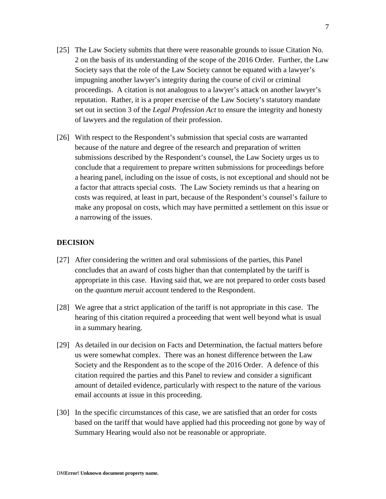- [25] The Law Society submits that there were reasonable grounds to issue Citation No. 2 on the basis of its understanding of the scope of the 2016 Order. Further, the Law Society says that the role of the Law Society cannot be equated with a lawyer's impugning another lawyer's integrity during the course of civil or criminal proceedings. A citation is not analogous to a lawyer's attack on another lawyer's reputation. Rather, it is a proper exercise of the Law Society's statutory mandate set out in section 3 of the *Legal Profession Act* to ensure the integrity and honesty of lawyers and the regulation of their profession.
- [26] With respect to the Respondent's submission that special costs are warranted because of the nature and degree of the research and preparation of written submissions described by the Respondent's counsel, the Law Society urges us to conclude that a requirement to prepare written submissions for proceedings before a hearing panel, including on the issue of costs, is not exceptional and should not be a factor that attracts special costs. The Law Society reminds us that a hearing on costs was required, at least in part, because of the Respondent's counsel's failure to make any proposal on costs, which may have permitted a settlement on this issue or a narrowing of the issues.

## **DECISION**

- [27] After considering the written and oral submissions of the parties, this Panel concludes that an award of costs higher than that contemplated by the tariff is appropriate in this case. Having said that, we are not prepared to order costs based on the *quantum meruit* account tendered to the Respondent.
- [28] We agree that a strict application of the tariff is not appropriate in this case. The hearing of this citation required a proceeding that went well beyond what is usual in a summary hearing.
- [29] As detailed in our decision on Facts and Determination, the factual matters before us were somewhat complex. There was an honest difference between the Law Society and the Respondent as to the scope of the 2016 Order. A defence of this citation required the parties and this Panel to review and consider a significant amount of detailed evidence, particularly with respect to the nature of the various email accounts at issue in this proceeding.
- [30] In the specific circumstances of this case, we are satisfied that an order for costs based on the tariff that would have applied had this proceeding not gone by way of Summary Hearing would also not be reasonable or appropriate.